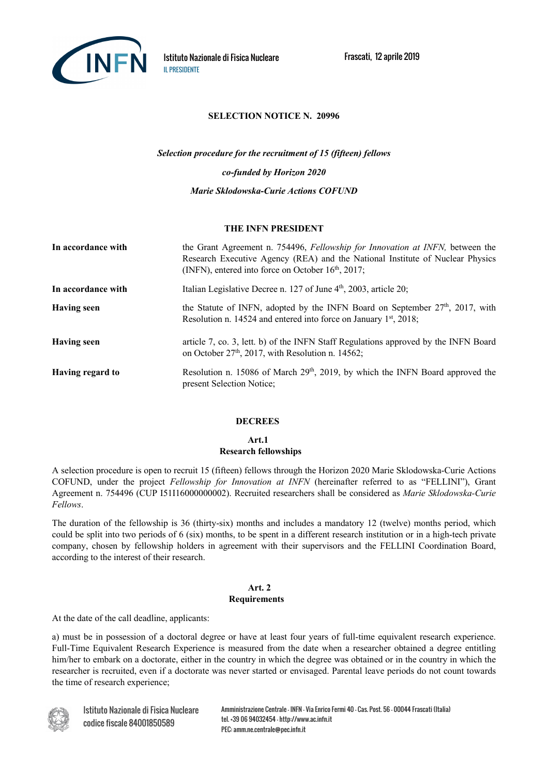

# **SELECTION NOTICE N. 20996**

*Selection procedure for the recruitment of 15 (fifteen) fellows co-funded by Horizon 2020 Marie Sklodowska-Curie Actions COFUND*

## **THE INFN PRESIDENT**

| In accordance with | the Grant Agreement n. 754496, Fellowship for Innovation at INFN, between the<br>Research Executive Agency (REA) and the National Institute of Nuclear Physics<br>(INFN), entered into force on October $16th$ , 2017; |
|--------------------|------------------------------------------------------------------------------------------------------------------------------------------------------------------------------------------------------------------------|
| In accordance with | Italian Legislative Decree n. 127 of June 4 <sup>th</sup> , 2003, article 20;                                                                                                                                          |
| <b>Having seen</b> | the Statute of INFN, adopted by the INFN Board on September 27 <sup>th</sup> , 2017, with<br>Resolution n. 14524 and entered into force on January $1st$ , 2018;                                                       |
| <b>Having seen</b> | article 7, co. 3, lett. b) of the INFN Staff Regulations approved by the INFN Board<br>on October 27 <sup>th</sup> , 2017, with Resolution n. 14562;                                                                   |
| Having regard to   | Resolution n. 15086 of March 29 <sup>th</sup> , 2019, by which the INFN Board approved the<br>present Selection Notice;                                                                                                |

#### **DECREES**

**Art.1**

# **Research fellowships**

A selection procedure is open to recruit 15 (fifteen) fellows through the Horizon 2020 Marie Sklodowska-Curie Actions COFUND, under the project *Fellowship for Innovation at INFN* (hereinafter referred to as "FELLINI"), Grant Agreement n. 754496 (CUP I51I16000000002). Recruited researchers shall be considered as *Marie Sklodowska-Curie Fellows*.

The duration of the fellowship is 36 (thirty-six) months and includes a mandatory 12 (twelve) months period, which could be split into two periods of 6 (six) months, to be spent in a different research institution or in a high-tech private company, chosen by fellowship holders in agreement with their supervisors and the FELLINI Coordination Board, according to the interest of their research.

## **Art. 2 Requirements**

At the date of the call deadline, applicants:

a) must be in possession of a doctoral degree or have at least four years of full-time equivalent research experience. Full-Time Equivalent Research Experience is measured from the date when a researcher obtained a degree entitling him/her to embark on a doctorate, either in the country in which the degree was obtained or in the country in which the researcher is recruited, even if a doctorate was never started or envisaged. Parental leave periods do not count towards the time of research experience;



Istituto Nazionale di Fisica Nucleare codice fiscale 84001850589

Amministrazione Centrale - INFN – Via Enrico Fermi 40 – Cas. Post. 56 - 00044 Frascati (Italia) tel. +39 06 94032454 – http://www.ac.infn.it PEC: amm.ne.centrale@pec.infn.it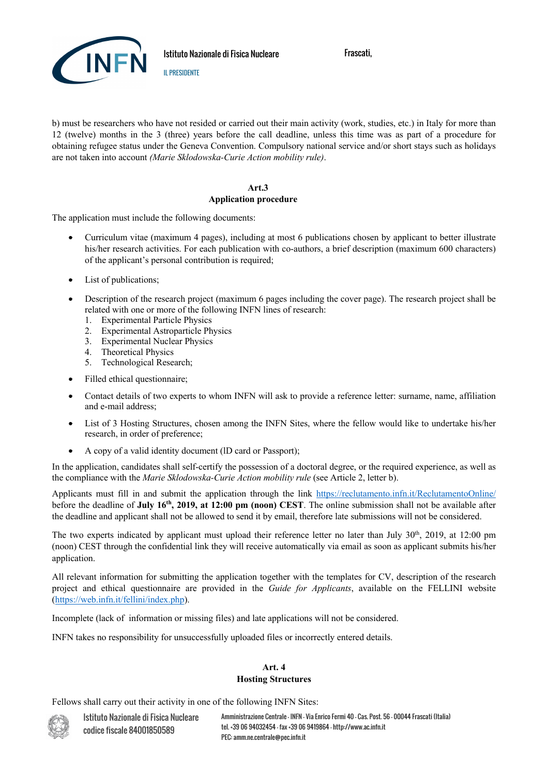

Istituto Nazionale di Fisica Nucleare

IL PRESIDENTE

Frascati,

b) must be researchers who have not resided or carried out their main activity (work, studies, etc.) in Italy for more than 12 (twelve) months in the 3 (three) years before the call deadline, unless this time was as part of a procedure for obtaining refugee status under the Geneva Convention. Compulsory national service and/or short stays such as holidays are not taken into account *(Marie Sklodowska-Curie Action mobility rule)*.

# **Art.3**

# **Application procedure**

The application must include the following documents:

- Curriculum vitae (maximum 4 pages), including at most 6 publications chosen by applicant to better illustrate his/her research activities. For each publication with co-authors, a brief description (maximum 600 characters) of the applicant's personal contribution is required;
- List of publications;
- Description of the research project (maximum 6 pages including the cover page). The research project shall be related with one or more of the following INFN lines of research:
	- 1. Experimental Particle Physics
	- 2. Experimental Astroparticle Physics
	- 3. Experimental Nuclear Physics
	- 4. Theoretical Physics
	- 5. Technological Research;
- Filled ethical questionnaire;
- Contact details of two experts to whom INFN will ask to provide a reference letter: surname, name, affiliation and e-mail address;
- List of 3 Hosting Structures, chosen among the INFN Sites, where the fellow would like to undertake his/her research, in order of preference;
- A copy of a valid identity document (lD card or Passport);

In the application, candidates shall self-certify the possession of a doctoral degree, or the required experience, as well as the compliance with the *Marie Sklodowska-Curie Action mobility rule* (see Article 2, letter b).

Applicants must fill in and submit the application through the link https://reclutamento.infn.it/ReclutamentoOnline/ before the deadline of **July 16th, 2019, at 12:00 pm (noon) CEST**. The online submission shall not be available after the deadline and applicant shall not be allowed to send it by email, therefore late submissions will not be considered.

The two experts indicated by applicant must upload their reference letter no later than July 30<sup>th</sup>, 2019, at 12:00 pm (noon) CEST through the confidential link they will receive automatically via email as soon as applicant submits his/her application.

All relevant information for submitting the application together with the templates for CV, description of the research project and ethical questionnaire are provided in the *Guide for Applicants*, available on the FELLINI website (https://web.infn.it/fellini/index.php).

Incomplete (lack of information or missing files) and late applications will not be considered.

INFN takes no responsibility for unsuccessfully uploaded files or incorrectly entered details.

## **Art. 4 Hosting Structures**

Fellows shall carry out their activity in one of the following INFN Sites:



Amministrazione Centrale - INFN – Via Enrico Fermi 40 – Cas. Post. 56 - 00044 Frascati (Italia) tel. +39 06 94032454 - fax +39 06 9419864 – http://www.ac.infn.it PEC: amm.ne.centrale@pec.infn.it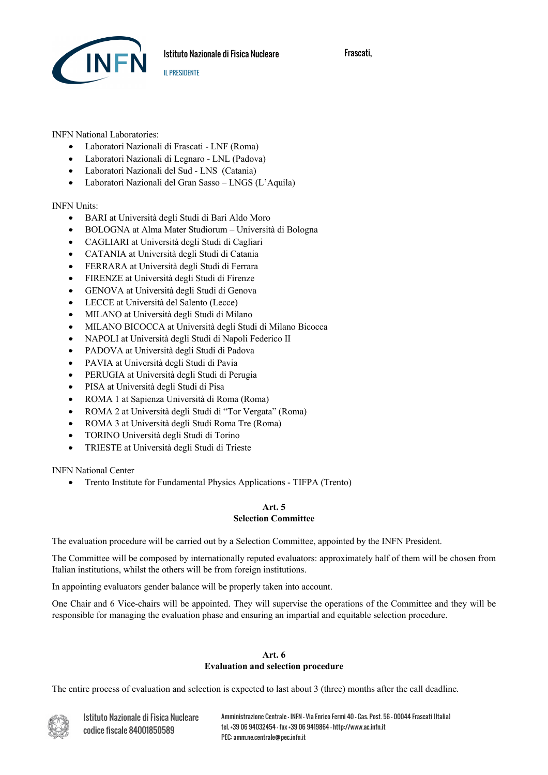

INFN National Laboratories:

- Laboratori Nazionali di Frascati LNF (Roma)
- Laboratori Nazionali di Legnaro LNL (Padova)
- Laboratori Nazionali del Sud LNS (Catania)
- Laboratori Nazionali del Gran Sasso LNGS (L'Aquila)

IL PRESIDENTE

## INFN Units:

- BARI at Università degli Studi di Bari Aldo Moro
- BOLOGNA at Alma Mater Studiorum Università di Bologna
- CAGLIARI at Università degli Studi di Cagliari
- CATANIA at Università degli Studi di Catania
- FERRARA at Università degli Studi di Ferrara
- FIRENZE at Università degli Studi di Firenze
- GENOVA at Università degli Studi di Genova
- LECCE at Università del Salento (Lecce)
- MILANO at Università degli Studi di Milano
- MILANO BICOCCA at Università degli Studi di Milano Bicocca
- NAPOLI at Università degli Studi di Napoli Federico II
- PADOVA at Università degli Studi di Padova
- PAVIA at Università degli Studi di Pavia
- PERUGIA at Università degli Studi di Perugia
- PISA at Università degli Studi di Pisa
- ROMA 1 at Sapienza Università di Roma (Roma)
- ROMA 2 at Università degli Studi di "Tor Vergata" (Roma)
- ROMA 3 at Università degli Studi Roma Tre (Roma)
- TORINO Università degli Studi di Torino
- TRIESTE at Università degli Studi di Trieste

INFN National Center

• Trento Institute for Fundamental Physics Applications - TIFPA (Trento)

# **Art. 5 Selection Committee**

The evaluation procedure will be carried out by a Selection Committee, appointed by the INFN President.

The Committee will be composed by internationally reputed evaluators: approximately half of them will be chosen from Italian institutions, whilst the others will be from foreign institutions.

In appointing evaluators gender balance will be properly taken into account.

One Chair and 6 Vice-chairs will be appointed. They will supervise the operations of the Committee and they will be responsible for managing the evaluation phase and ensuring an impartial and equitable selection procedure.

## **Art. 6 Evaluation and selection procedure**

The entire process of evaluation and selection is expected to last about 3 (three) months after the call deadline.

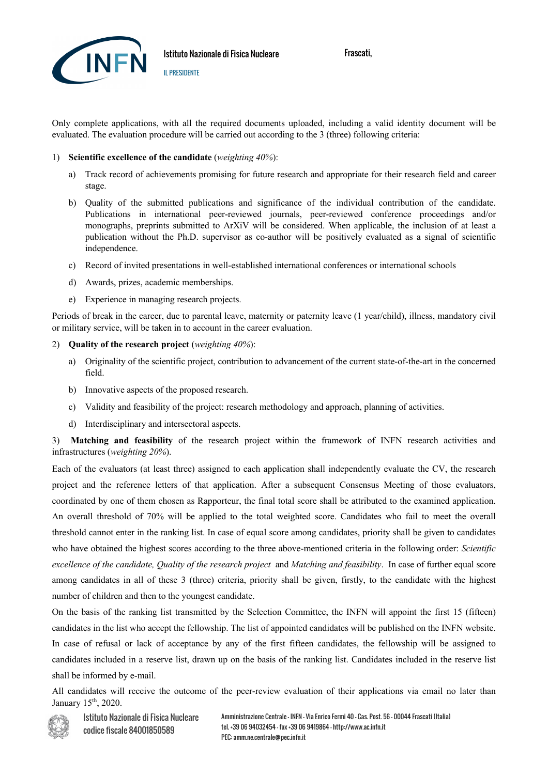

Only complete applications, with all the required documents uploaded, including a valid identity document will be evaluated. The evaluation procedure will be carried out according to the 3 (three) following criteria:

#### 1) **Scientific excellence of the candidate** (*weighting 40%*):

IL PRESIDENTE

- a) Track record of achievements promising for future research and appropriate for their research field and career stage.
- b) Quality of the submitted publications and significance of the individual contribution of the candidate. Publications in international peer-reviewed journals, peer-reviewed conference proceedings and/or monographs, preprints submitted to ArXiV will be considered. When applicable, the inclusion of at least a publication without the Ph.D. supervisor as co-author will be positively evaluated as a signal of scientific independence.
- c) Record of invited presentations in well-established international conferences or international schools
- d) Awards, prizes, academic memberships.
- e) Experience in managing research projects.

Periods of break in the career, due to parental leave, maternity or paternity leave (1 year/child), illness, mandatory civil or military service, will be taken in to account in the career evaluation.

#### 2) **Quality of the research project** (*weighting 40%*):

- a) Originality of the scientific project, contribution to advancement of the current state-of-the-art in the concerned field.
- b) Innovative aspects of the proposed research.
- c) Validity and feasibility of the project: research methodology and approach, planning of activities.
- d) Interdisciplinary and intersectoral aspects.

3) **Matching and feasibility** of the research project within the framework of INFN research activities and infrastructures (*weighting 20%*).

Each of the evaluators (at least three) assigned to each application shall independently evaluate the CV, the research project and the reference letters of that application. After a subsequent Consensus Meeting of those evaluators, coordinated by one of them chosen as Rapporteur, the final total score shall be attributed to the examined application. An overall threshold of 70% will be applied to the total weighted score. Candidates who fail to meet the overall threshold cannot enter in the ranking list. In case of equal score among candidates, priority shall be given to candidates who have obtained the highest scores according to the three above-mentioned criteria in the following order: *Scientific excellence of the candidate, Quality of the research project* and *Matching and feasibility*. In case of further equal score among candidates in all of these 3 (three) criteria, priority shall be given, firstly, to the candidate with the highest number of children and then to the youngest candidate.

On the basis of the ranking list transmitted by the Selection Committee, the INFN will appoint the first 15 (fifteen) candidates in the list who accept the fellowship. The list of appointed candidates will be published on the INFN website. In case of refusal or lack of acceptance by any of the first fifteen candidates, the fellowship will be assigned to candidates included in a reserve list, drawn up on the basis of the ranking list. Candidates included in the reserve list shall be informed by e-mail.

All candidates will receive the outcome of the peer-review evaluation of their applications via email no later than January 15<sup>th</sup>, 2020.



Istituto Nazionale di Fisica Nucleare codice fiscale 84001850589

Amministrazione Centrale - INFN – Via Enrico Fermi 40 – Cas. Post. 56 - 00044 Frascati (Italia) tel. +39 06 94032454 - fax +39 06 9419864 – http://www.ac.infn.it PEC: amm.ne.centrale@pec.infn.it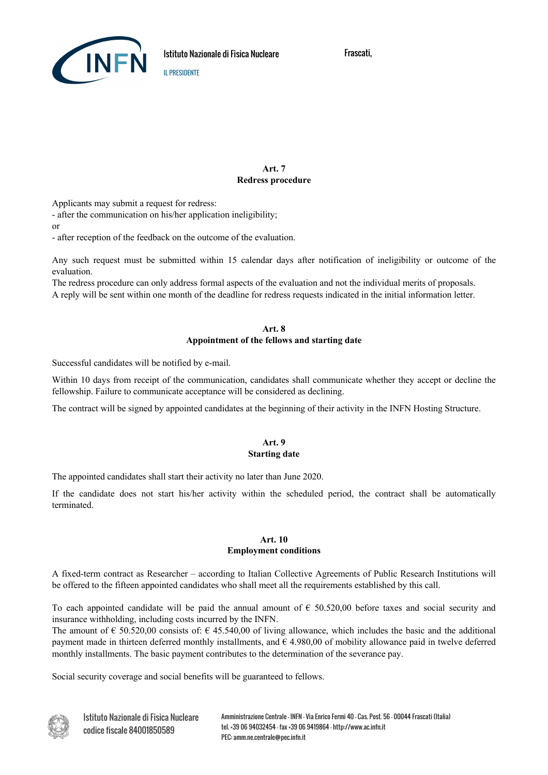

## **Art. 7 Redress procedure**

Applicants may submit a request for redress:

- after the communication on his/her application ineligibility;

or

- after reception of the feedback on the outcome of the evaluation.

IL PRESIDENTE

Any such request must be submitted within 15 calendar days after notification of ineligibility or outcome of the evaluation.

The redress procedure can only address formal aspects of the evaluation and not the individual merits of proposals. A reply will be sent within one month of the deadline for redress requests indicated in the initial information letter.

#### **Art. 8 Appointment of the fellows and starting date**

Successful candidates will be notified by e-mail.

Within 10 days from receipt of the communication, candidates shall communicate whether they accept or decline the fellowship. Failure to communicate acceptance will be considered as declining.

The contract will be signed by appointed candidates at the beginning of their activity in the INFN Hosting Structure.

#### **Art. 9 Starting date**

The appointed candidates shall start their activity no later than June 2020.

If the candidate does not start his/her activity within the scheduled period, the contract shall be automatically terminated.

#### **Art. 10**

#### **Employment conditions**

A fixed-term contract as Researcher – according to Italian Collective Agreements of Public Research Institutions will be offered to the fifteen appointed candidates who shall meet all the requirements established by this call.

To each appointed candidate will be paid the annual amount of  $\epsilon$  50.520,00 before taxes and social security and insurance withholding, including costs incurred by the INFN.

The amount of  $\epsilon$  50.520,00 consists of:  $\epsilon$  45.540,00 of living allowance, which includes the basic and the additional payment made in thirteen deferred monthly installments, and  $\epsilon$  4.980,00 of mobility allowance paid in twelve deferred monthly installments. The basic payment contributes to the determination of the severance pay.

Social security coverage and social benefits will be guaranteed to fellows.